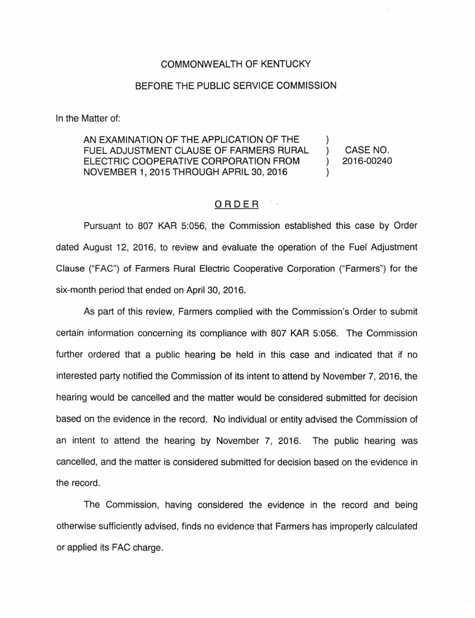## COMMONWEALTH OF KENTUCKY

## BEFORE THE PUBLIC SERVICE COMMISSION

In the Matter of:

AN EXAMINATION OF THE APPLICATION OF THE FUEL ADJUSTMENT CLAUSE OF FARMERS RURAL ELECTRIC COOPERATIVE CORPORATION FROM NOVEMBER 1, 2015 THROUGH APRIL 30, 2016

CASE NO. 2016-00240

## ORDER

Pursuant to 807 KAR 5:056, the Commission established this case by Order dated August 12, 2016, to review and evaluate the operation of the Fuel Adjustment Clause ("FAC") of Farmers Rural Electric Cooperative Corporation ("Farmers") for the six-month period that ended on April 30, 2016.

As part of this review, Farmers complied with the Commission's Order to submit certain information concerning its compliance with 807 KAR 5:056. The Commission further ordered that a public hearing be held in this case and indicated that if no interested party notified the Commission of its intent to attend by November 7, 2016, the hearing would be cancelled and the matter would be considered submitted for decision based on the evidence in the record. No individual or entity advised the Commission of an intent to attend the hearing by November 7, 2016. The public hearing was cancelled, and the matter is considered submitted for decision based on the evidence in the record.

The Commission, having considered the evidence in the record and being otherwise sufficiently advised, finds no evidence that Farmers has improperly calculated or applied its FAC charge.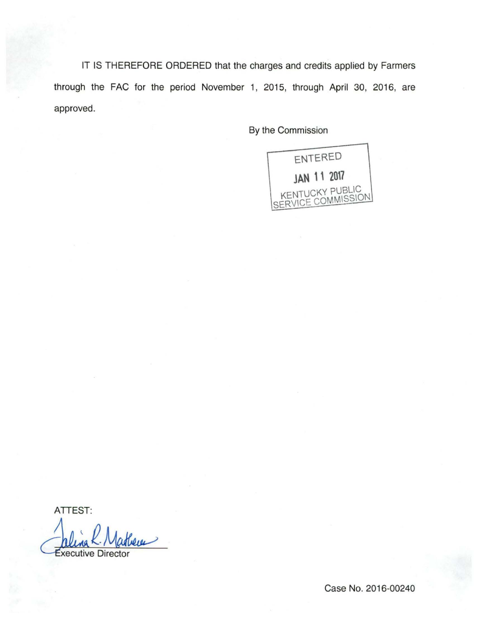IT IS THEREFORE ORDERED that the charges and credits applied by Farmers through the FAC for the period November 1, 2015, through April 30, 2016, are approved.

## By the Commission



ATTEST:

<u>Falina K. Madhew</u>